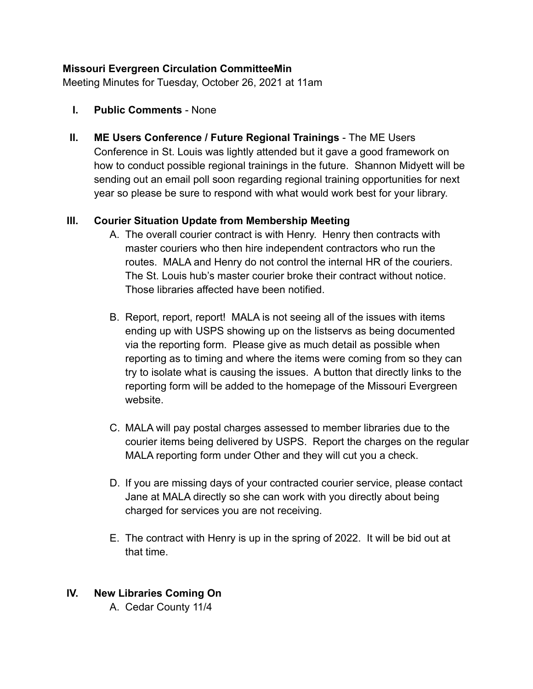#### **Missouri Evergreen Circulation CommitteeMin**

Meeting Minutes for Tuesday, October 26, 2021 at 11am

- **I. Public Comments** None
- **II. ME Users Conference / Future Regional Trainings** The ME Users Conference in St. Louis was lightly attended but it gave a good framework on how to conduct possible regional trainings in the future. Shannon Midyett will be sending out an email poll soon regarding regional training opportunities for next year so please be sure to respond with what would work best for your library.

#### **III. Courier Situation Update from Membership Meeting**

- A. The overall courier contract is with Henry. Henry then contracts with master couriers who then hire independent contractors who run the routes. MALA and Henry do not control the internal HR of the couriers. The St. Louis hub's master courier broke their contract without notice. Those libraries affected have been notified.
- B. Report, report, report! MALA is not seeing all of the issues with items ending up with USPS showing up on the listservs as being documented via the reporting form. Please give as much detail as possible when reporting as to timing and where the items were coming from so they can try to isolate what is causing the issues. A button that directly links to the reporting form will be added to the homepage of the Missouri Evergreen website.
- C. MALA will pay postal charges assessed to member libraries due to the courier items being delivered by USPS. Report the charges on the regular MALA reporting form under Other and they will cut you a check.
- D. If you are missing days of your contracted courier service, please contact Jane at MALA directly so she can work with you directly about being charged for services you are not receiving.
- E. The contract with Henry is up in the spring of 2022. It will be bid out at that time.

# **IV. New Libraries Coming On**

A. Cedar County 11/4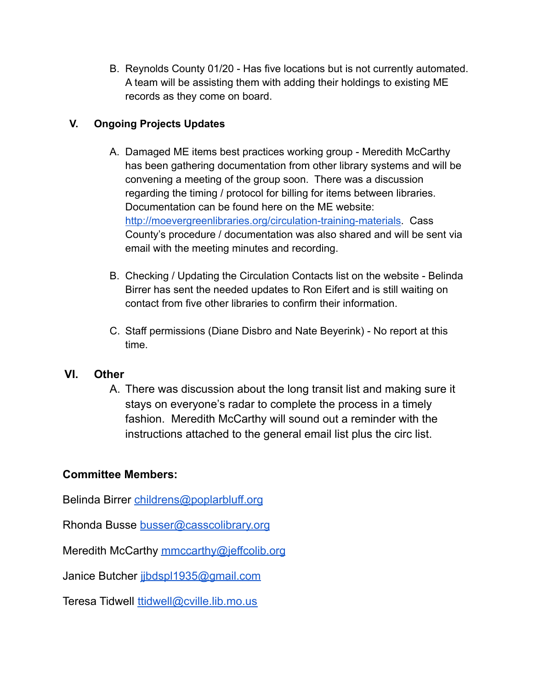B. Reynolds County 01/20 - Has five locations but is not currently automated. A team will be assisting them with adding their holdings to existing ME records as they come on board.

# **V. Ongoing Projects Updates**

- A. Damaged ME items best practices working group Meredith McCarthy has been gathering documentation from other library systems and will be convening a meeting of the group soon. There was a discussion regarding the timing / protocol for billing for items between libraries. Documentation can be found here on the ME website: [http://moevergreenlibraries.org/circulation-training-materials.](http://moevergreenlibraries.org/circulation-training-materials) Cass County's procedure / documentation was also shared and will be sent via email with the meeting minutes and recording.
- B. Checking / Updating the Circulation Contacts list on the website Belinda Birrer has sent the needed updates to Ron Eifert and is still waiting on contact from five other libraries to confirm their information.
- C. Staff permissions (Diane Disbro and Nate Beyerink) No report at this time.

#### **VI. Other**

A. There was discussion about the long transit list and making sure it stays on everyone's radar to complete the process in a timely fashion. Meredith McCarthy will sound out a reminder with the instructions attached to the general email list plus the circ list.

# **Committee Members:**

Belinda Birrer [childrens@poplarbluff.org](mailto:childrens@poplarbluff.org)

Rhonda Busse [busser@casscolibrary.org](mailto:busser@casscolibrary.org)

Meredith McCarthy [mmccarthy@jeffcolib.org](mailto:mmccarthy@jeffcolib.org)

Janice Butcher [jjbdspl1935@gmail.com](mailto:jjbdspl1935@gmail.com)

Teresa Tidwell [ttidwell@cville.lib.mo.us](mailto:ttidwell@cville.lib.mo.us)